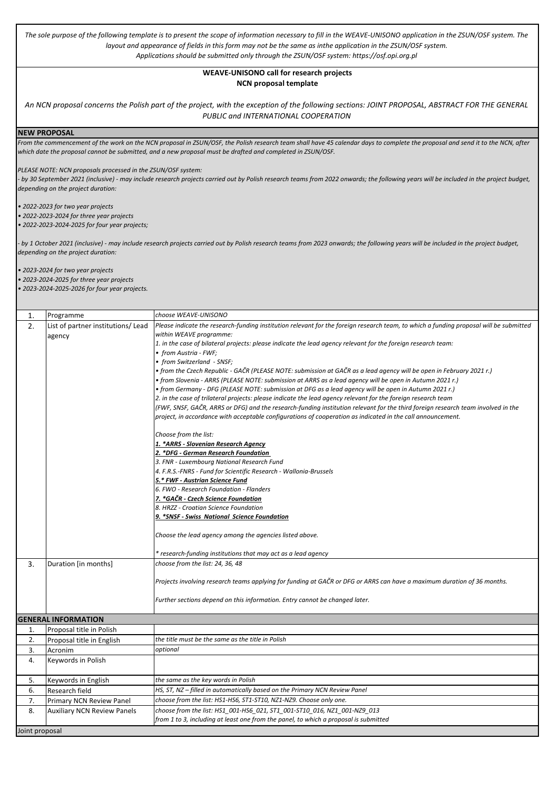*The sole purpose of the following template is to present the scope of information necessary to fill in the WEAVE-UNISONO application in the ZSUN/OSF system. The layout and appearance of fields in this form may not be the same as inthe application in the ZSUN/OSF system. Applications should be submitted only through the ZSUN/OSF system: https://osf.opi.org.pl*

## **WEAVE-UNISONO call for research projects NCN proposal template**

*An NCN proposal concerns the Polish part of the project, with the exception of the following sections: JOINT PROPOSAL, ABSTRACT FOR THE GENERAL PUBLIC and INTERNATIONAL COOPERATION* 

**NEW PROPOSAL**

*From the commencement of the work on the NCN proposal in ZSUN/OSF, the Polish research team shall have 45 calendar days to complete the proposal and send it to the NCN, after which date the proposal cannot be submitted, and a new proposal must be drafted and completed in ZSUN/OSF.*

*PLEASE NOTE: NCN proposals processed in the ZSUN/OSF system:*

*- by 30 September 2021 (inclusive) - may include research projects carried out by Polish research teams from 2022 onwards; the following years will be included in the project budget, depending on the project duration:*

*• 2022-2023 for two year projects* 

*• 2022-2023-2024 for three year projects* 

*• 2022-2023-2024-2025 for four year projects;* 

*- by 1 October 2021 (inclusive) - may include research projects carried out by Polish research teams from 2023 onwards; the following years will be included in the project budget, depending on the project duration:*

*• 2023-2024 for two year projects* 

*• 2023-2024-2025 for three year projects • 2023-2024-2025-2026 for four year projects.*

| 1.             | Programme                          | choose WEAVE-UNISONO                                                                                                                   |
|----------------|------------------------------------|----------------------------------------------------------------------------------------------------------------------------------------|
| 2.             | List of partner institutions/ Lead | Please indicate the research-funding institution relevant for the foreign research team, to which a funding proposal will be submitted |
|                | agency                             | within WEAVE programme:                                                                                                                |
|                |                                    | 1. in the case of bilateral projects: please indicate the lead agency relevant for the foreign research team:                          |
|                |                                    | • from Austria - FWF;                                                                                                                  |
|                |                                    | • from Switzerland - SNSF;                                                                                                             |
|                |                                    | • from the Czech Republic - GAČR (PLEASE NOTE: submission at GAČR as a lead agency will be open in February 2021 r.)                   |
|                |                                    | • from Slovenia - ARRS (PLEASE NOTE: submission at ARRS as a lead agency will be open in Autumn 2021 r.)                               |
|                |                                    | • from Germany - DFG (PLEASE NOTE: submission at DFG as a lead agency will be open in Autumn 2021 r.)                                  |
|                |                                    | 2. in the case of trilateral projects: please indicate the lead agency relevant for the foreign research team                          |
|                |                                    | (FWF, SNSF, GAČR, ARRS or DFG) and the research-funding institution relevant for the third foreign research team involved in the       |
|                |                                    | project, in accordance with acceptable configurations of cooperation as indicated in the call announcement.                            |
|                |                                    | Choose from the list:                                                                                                                  |
|                |                                    | <u> 1. *ARRS - Slovenian Research Agency</u>                                                                                           |
|                |                                    | 2. *DFG - German Research Foundation                                                                                                   |
|                |                                    | 3. FNR - Luxembourg National Research Fund                                                                                             |
|                |                                    | 4. F.R.S.-FNRS - Fund for Scientific Research - Wallonia-Brussels                                                                      |
|                |                                    | 5.* FWF - Austrian Science Fund                                                                                                        |
|                |                                    | 6. FWO - Research Foundation - Flanders                                                                                                |
|                |                                    | 7. *GAČR <u>- Czech Science Foundation</u><br>8. HRZZ - Croatian Science Foundation                                                    |
|                |                                    | 9. *SNSF - Swiss National Science Foundation                                                                                           |
|                |                                    |                                                                                                                                        |
|                |                                    | Choose the lead agency among the agencies listed above.                                                                                |
|                |                                    | * research-funding institutions that may act as a lead agency                                                                          |
| 3.             | Duration [in months]               | choose from the list: 24, 36, 48                                                                                                       |
|                |                                    | Projects involving research teams applying for funding at GAČR or DFG or ARRS can have a maximum duration of 36 months.                |
|                |                                    | Further sections depend on this information. Entry cannot be changed later.                                                            |
|                | <b>GENERAL INFORMATION</b>         |                                                                                                                                        |
| 1.             | Proposal title in Polish           |                                                                                                                                        |
| 2.             | Proposal title in English          | the title must be the same as the title in Polish                                                                                      |
| 3.             | Acronim                            | optional                                                                                                                               |
| 4.             | Keywords in Polish                 |                                                                                                                                        |
| 5.             | Keywords in English                | the same as the key words in Polish                                                                                                    |
| 6.             | Research field                     | HS, ST, NZ - filled in automatically based on the Primary NCN Review Panel                                                             |
| 7.             | Primary NCN Review Panel           | choose from the list: HS1-HS6, ST1-ST10, NZ1-NZ9. Choose only one.                                                                     |
| 8.             | <b>Auxiliary NCN Review Panels</b> | choose from the list: HS1 001-HS6 021, ST1 001-ST10 016, NZ1 001-NZ9 013                                                               |
|                |                                    | from 1 to 3, including at least one from the panel, to which a proposal is submitted                                                   |
| Joint proposal |                                    |                                                                                                                                        |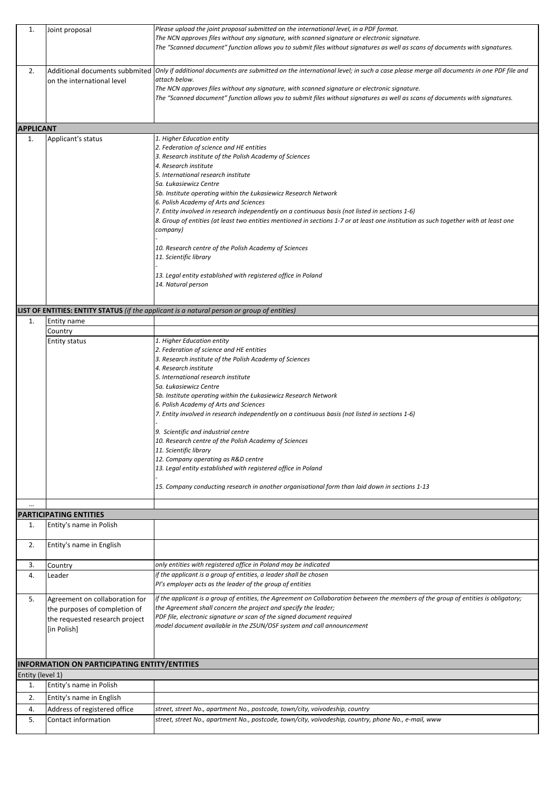| 1.               | Joint proposal                                      | Please upload the joint proposal submitted on the international level, in a PDF format.                                                                              |
|------------------|-----------------------------------------------------|----------------------------------------------------------------------------------------------------------------------------------------------------------------------|
|                  |                                                     | The NCN approves files without any signature, with scanned signature or electronic signature.                                                                        |
|                  |                                                     | The "Scanned document" function allows you to submit files without signatures as well as scans of documents with signatures.                                         |
|                  |                                                     |                                                                                                                                                                      |
|                  |                                                     |                                                                                                                                                                      |
| 2.               |                                                     | Additional documents subbmited  Only if additional documents are submitted on the international level; in such a case please merge all documents in one PDF file and |
|                  | on the international level                          | attach below.                                                                                                                                                        |
|                  |                                                     | The NCN approves files without any signature, with scanned signature or electronic signature.                                                                        |
|                  |                                                     | The "Scanned document" function allows you to submit files without signatures as well as scans of documents with signatures.                                         |
|                  |                                                     |                                                                                                                                                                      |
|                  |                                                     |                                                                                                                                                                      |
| <b>APPLICANT</b> |                                                     |                                                                                                                                                                      |
|                  |                                                     | 1. Higher Education entity                                                                                                                                           |
| 1.               | Applicant's status                                  |                                                                                                                                                                      |
|                  |                                                     | 2. Federation of science and HE entities                                                                                                                             |
|                  |                                                     | 3. Research institute of the Polish Academy of Sciences                                                                                                              |
|                  |                                                     | 4. Research institute                                                                                                                                                |
|                  |                                                     | 5. International research institute                                                                                                                                  |
|                  |                                                     | 5a. Łukasiewicz Centre                                                                                                                                               |
|                  |                                                     | 5b. Institute operating within the Łukasiewicz Research Network                                                                                                      |
|                  |                                                     | 6. Polish Academy of Arts and Sciences                                                                                                                               |
|                  |                                                     | 7. Entity involved in research independently on a continuous basis (not listed in sections 1-6)                                                                      |
|                  |                                                     | 8. Group of entities (at least two entities mentioned in sections 1-7 or at least one institution as such together with at least one                                 |
|                  |                                                     | company)                                                                                                                                                             |
|                  |                                                     |                                                                                                                                                                      |
|                  |                                                     | 10. Research centre of the Polish Academy of Sciences                                                                                                                |
|                  |                                                     | 11. Scientific library                                                                                                                                               |
|                  |                                                     |                                                                                                                                                                      |
|                  |                                                     | 13. Legal entity established with registered office in Poland                                                                                                        |
|                  |                                                     | 14. Natural person                                                                                                                                                   |
|                  |                                                     |                                                                                                                                                                      |
|                  |                                                     |                                                                                                                                                                      |
|                  |                                                     | LIST OF ENTITIES: ENTITY STATUS (if the applicant is a natural person or group of entities)                                                                          |
| 1.               | Entity name                                         |                                                                                                                                                                      |
|                  | Country                                             |                                                                                                                                                                      |
|                  | <b>Entity status</b>                                | 1. Higher Education entity                                                                                                                                           |
|                  |                                                     | 2. Federation of science and HE entities                                                                                                                             |
|                  |                                                     | 3. Research institute of the Polish Academy of Sciences                                                                                                              |
|                  |                                                     | 4. Research institute                                                                                                                                                |
|                  |                                                     | 5. International research institute                                                                                                                                  |
|                  |                                                     | 5a. Łukasiewicz Centre                                                                                                                                               |
|                  |                                                     | 5b. Institute operating within the Łukasiewicz Research Network                                                                                                      |
|                  |                                                     | 6. Polish Academy of Arts and Sciences                                                                                                                               |
|                  |                                                     | 7. Entity involved in research independently on a continuous basis (not listed in sections 1-6)                                                                      |
|                  |                                                     |                                                                                                                                                                      |
|                  |                                                     | 9. Scientific and industrial centre                                                                                                                                  |
|                  |                                                     | 10. Research centre of the Polish Academy of Sciences                                                                                                                |
|                  |                                                     | 11. Scientific library                                                                                                                                               |
|                  |                                                     | 12. Company operating as R&D centre                                                                                                                                  |
|                  |                                                     | 13. Legal entity established with registered office in Poland                                                                                                        |
|                  |                                                     |                                                                                                                                                                      |
|                  |                                                     | 15. Company conducting research in another organisational form than laid down in sections 1-13                                                                       |
|                  |                                                     |                                                                                                                                                                      |
|                  |                                                     |                                                                                                                                                                      |
|                  | PARTICIPATING ENTITIES                              |                                                                                                                                                                      |
| 1.               | Entity's name in Polish                             |                                                                                                                                                                      |
|                  |                                                     |                                                                                                                                                                      |
| 2.               | Entity's name in English                            |                                                                                                                                                                      |
|                  |                                                     |                                                                                                                                                                      |
| 3.               |                                                     | only entities with registered office in Poland may be indicated                                                                                                      |
|                  | Country                                             | if the applicant is a group of entities, a leader shall be chosen                                                                                                    |
| 4.               | Leader                                              |                                                                                                                                                                      |
|                  |                                                     | PI's employer acts as the leader of the group of entities                                                                                                            |
| 5.               | Agreement on collaboration for                      | if the applicant is a group of entities, the Agreement on Collaboration between the members of the group of entities is obligatory;                                  |
|                  | the purposes of completion of                       | the Agreement shall concern the project and specify the leader;                                                                                                      |
|                  | the requested research project                      | PDF file, electronic signature or scan of the signed document required                                                                                               |
|                  |                                                     | model document available in the ZSUN/OSF system and call announcement                                                                                                |
|                  | [in Polish]                                         |                                                                                                                                                                      |
|                  |                                                     |                                                                                                                                                                      |
|                  |                                                     |                                                                                                                                                                      |
|                  | <b>INFORMATION ON PARTICIPATING ENTITY/ENTITIES</b> |                                                                                                                                                                      |
| Entity (level 1) |                                                     |                                                                                                                                                                      |
| 1.               | Entity's name in Polish                             |                                                                                                                                                                      |
|                  |                                                     |                                                                                                                                                                      |
| 2.               | Entity's name in English                            |                                                                                                                                                                      |
|                  |                                                     |                                                                                                                                                                      |
| 4.               | Address of registered office                        | street, street No., apartment No., postcode, town/city, voivodeship, country                                                                                         |
| 5.               | Contact information                                 | street, street No., apartment No., postcode, town/city, voivodeship, country, phone No., e-mail, www                                                                 |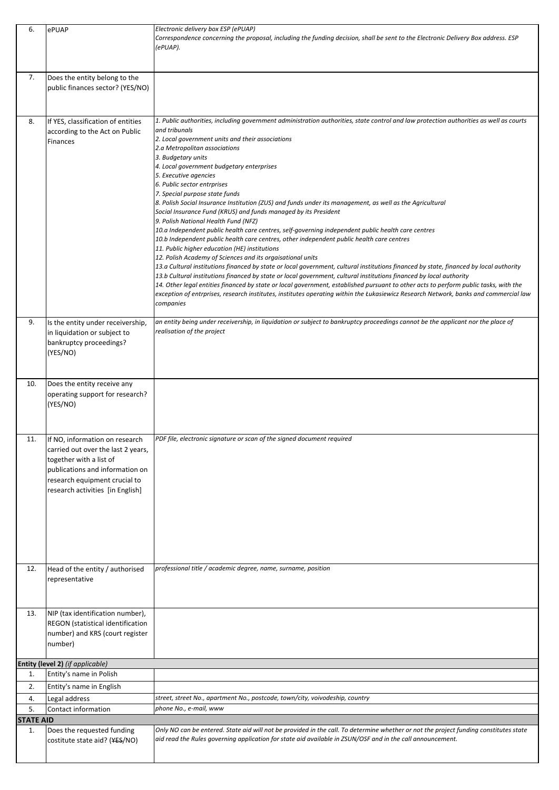| 6.               | ePUAP                                                             | Electronic delivery box ESP (ePUAP)                                                                                                                                                                                                                                          |
|------------------|-------------------------------------------------------------------|------------------------------------------------------------------------------------------------------------------------------------------------------------------------------------------------------------------------------------------------------------------------------|
|                  |                                                                   | Correspondence concerning the proposal, including the funding decision, shall be sent to the Electronic Delivery Box address. ESP                                                                                                                                            |
|                  |                                                                   | (ePUAP).                                                                                                                                                                                                                                                                     |
|                  |                                                                   |                                                                                                                                                                                                                                                                              |
|                  |                                                                   |                                                                                                                                                                                                                                                                              |
| 7.               | Does the entity belong to the<br>public finances sector? (YES/NO) |                                                                                                                                                                                                                                                                              |
|                  |                                                                   |                                                                                                                                                                                                                                                                              |
|                  |                                                                   |                                                                                                                                                                                                                                                                              |
|                  |                                                                   |                                                                                                                                                                                                                                                                              |
| 8.               | If YES, classification of entities                                | 1. Public authorities, including government administration authorities, state control and law protection authorities as well as courts                                                                                                                                       |
|                  | according to the Act on Public                                    | and tribunals<br>2. Local government units and their associations                                                                                                                                                                                                            |
|                  | Finances                                                          | 2.a Metropolitan associations                                                                                                                                                                                                                                                |
|                  |                                                                   | 3. Budgetary units                                                                                                                                                                                                                                                           |
|                  |                                                                   | 4. Local government budgetary enterprises                                                                                                                                                                                                                                    |
|                  |                                                                   | 5. Executive agencies                                                                                                                                                                                                                                                        |
|                  |                                                                   | 6. Public sector entrprises                                                                                                                                                                                                                                                  |
|                  |                                                                   | 7. Special purpose state funds                                                                                                                                                                                                                                               |
|                  |                                                                   | 8. Polish Social Insurance Institution (ZUS) and funds under its management, as well as the Agricultural<br>Social Insurance Fund (KRUS) and funds managed by its President                                                                                                  |
|                  |                                                                   | 9. Polish National Health Fund (NFZ)                                                                                                                                                                                                                                         |
|                  |                                                                   | 10.a Independent public health care centres, self-governing independent public health care centres                                                                                                                                                                           |
|                  |                                                                   | 10.b Independent public health care centres, other independent public health care centres                                                                                                                                                                                    |
|                  |                                                                   | 11. Public higher education (HE) institutions                                                                                                                                                                                                                                |
|                  |                                                                   | 12. Polish Academy of Sciences and its orgaisational units                                                                                                                                                                                                                   |
|                  |                                                                   | 13.a Cultural institutions financed by state or local government, cultural institutions financed by state, financed by local authority                                                                                                                                       |
|                  |                                                                   | 13.b Cultural institutions financed by state or local government, cultural institutions financed by local authority                                                                                                                                                          |
|                  |                                                                   | 14. Other legal entities financed by state or local government, established pursuant to other acts to perform public tasks, with the<br>exception of entrprises, research institutes, institutes operating within the Łukasiewicz Research Network, banks and commercial law |
|                  |                                                                   | companies                                                                                                                                                                                                                                                                    |
|                  |                                                                   |                                                                                                                                                                                                                                                                              |
| 9.               | Is the entity under receivership,                                 | an entity being under receivership, in liquidation or subject to bankruptcy proceedings cannot be the applicant nor the place of                                                                                                                                             |
|                  | in liquidation or subject to                                      | realisation of the project                                                                                                                                                                                                                                                   |
|                  | bankruptcy proceedings?                                           |                                                                                                                                                                                                                                                                              |
|                  | (YES/NO)                                                          |                                                                                                                                                                                                                                                                              |
|                  |                                                                   |                                                                                                                                                                                                                                                                              |
|                  |                                                                   |                                                                                                                                                                                                                                                                              |
| 10.              | Does the entity receive any                                       |                                                                                                                                                                                                                                                                              |
|                  | operating support for research?                                   |                                                                                                                                                                                                                                                                              |
|                  | (YES/NO)                                                          |                                                                                                                                                                                                                                                                              |
|                  |                                                                   |                                                                                                                                                                                                                                                                              |
|                  |                                                                   |                                                                                                                                                                                                                                                                              |
| 11.              | If NO, information on research                                    | PDF file, electronic signature or scan of the signed document required                                                                                                                                                                                                       |
|                  | carried out over the last 2 years,                                |                                                                                                                                                                                                                                                                              |
|                  | together with a list of                                           |                                                                                                                                                                                                                                                                              |
|                  | publications and information on                                   |                                                                                                                                                                                                                                                                              |
|                  | research equipment crucial to                                     |                                                                                                                                                                                                                                                                              |
|                  | research activities [in English]                                  |                                                                                                                                                                                                                                                                              |
|                  |                                                                   |                                                                                                                                                                                                                                                                              |
|                  |                                                                   |                                                                                                                                                                                                                                                                              |
|                  |                                                                   |                                                                                                                                                                                                                                                                              |
|                  |                                                                   |                                                                                                                                                                                                                                                                              |
|                  |                                                                   |                                                                                                                                                                                                                                                                              |
|                  |                                                                   |                                                                                                                                                                                                                                                                              |
|                  |                                                                   |                                                                                                                                                                                                                                                                              |
| 12.              | Head of the entity / authorised                                   | professional title / academic degree, name, surname, position                                                                                                                                                                                                                |
|                  | representative                                                    |                                                                                                                                                                                                                                                                              |
|                  |                                                                   |                                                                                                                                                                                                                                                                              |
|                  |                                                                   |                                                                                                                                                                                                                                                                              |
| 13.              | NIP (tax identification number),                                  |                                                                                                                                                                                                                                                                              |
|                  | REGON (statistical identification                                 |                                                                                                                                                                                                                                                                              |
|                  | number) and KRS (court register                                   |                                                                                                                                                                                                                                                                              |
|                  | number)                                                           |                                                                                                                                                                                                                                                                              |
|                  |                                                                   |                                                                                                                                                                                                                                                                              |
| 1.               | Entity (level 2) (if applicable)<br>Entity's name in Polish       |                                                                                                                                                                                                                                                                              |
|                  |                                                                   |                                                                                                                                                                                                                                                                              |
| 2.               | Entity's name in English                                          |                                                                                                                                                                                                                                                                              |
| 4.               | Legal address                                                     | street, street No., apartment No., postcode, town/city, voivodeship, country                                                                                                                                                                                                 |
| 5.               | Contact information                                               | phone No., e-mail, www                                                                                                                                                                                                                                                       |
| <b>STATE AID</b> |                                                                   |                                                                                                                                                                                                                                                                              |
| 1.               | Does the requested funding                                        | Only NO can be entered. State aid will not be provided in the call. To determine whether or not the project funding constitutes state                                                                                                                                        |
|                  | costitute state aid? (YES/NO)                                     | aid read the Rules governing application for state aid available in ZSUN/OSF and in the call announcement.                                                                                                                                                                   |
|                  |                                                                   |                                                                                                                                                                                                                                                                              |
|                  |                                                                   |                                                                                                                                                                                                                                                                              |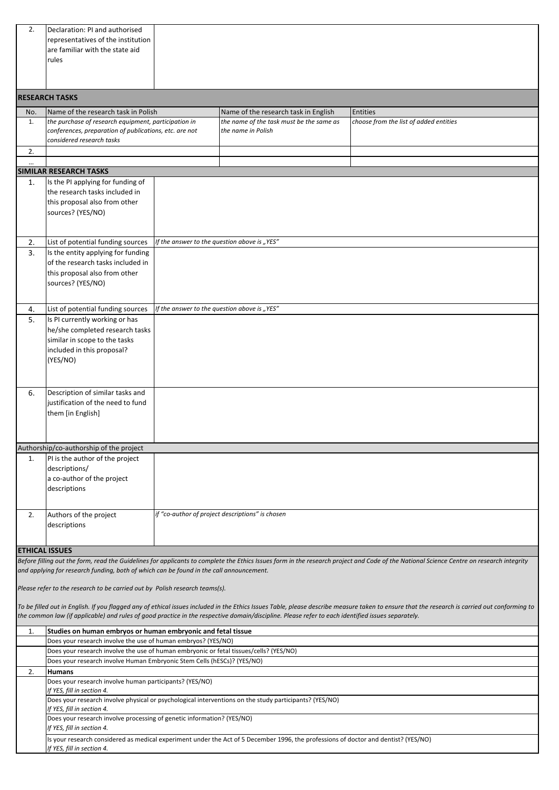| 2.             | Declaration: PI and authorised                                                                                                                          |                                                                                                                                                   |                                                                                                                                                                                               |
|----------------|---------------------------------------------------------------------------------------------------------------------------------------------------------|---------------------------------------------------------------------------------------------------------------------------------------------------|-----------------------------------------------------------------------------------------------------------------------------------------------------------------------------------------------|
|                | representatives of the institution                                                                                                                      |                                                                                                                                                   |                                                                                                                                                                                               |
|                | are familiar with the state aid                                                                                                                         |                                                                                                                                                   |                                                                                                                                                                                               |
|                | rules                                                                                                                                                   |                                                                                                                                                   |                                                                                                                                                                                               |
|                |                                                                                                                                                         |                                                                                                                                                   |                                                                                                                                                                                               |
|                |                                                                                                                                                         |                                                                                                                                                   |                                                                                                                                                                                               |
|                | <b>RESEARCH TASKS</b>                                                                                                                                   |                                                                                                                                                   |                                                                                                                                                                                               |
| No.            | Name of the research task in Polish                                                                                                                     | Name of the research task in English                                                                                                              | <b>Entities</b>                                                                                                                                                                               |
| 1.             | the purchase of research equipment, participation in<br>conferences, preparation of publications, etc. are not                                          | the name of the task must be the same as                                                                                                          | choose from the list of added entities                                                                                                                                                        |
|                | considered research tasks                                                                                                                               | the name in Polish                                                                                                                                |                                                                                                                                                                                               |
| 2.             |                                                                                                                                                         |                                                                                                                                                   |                                                                                                                                                                                               |
|                |                                                                                                                                                         |                                                                                                                                                   |                                                                                                                                                                                               |
|                | <b>SIMILAR RESEARCH TASKS</b>                                                                                                                           |                                                                                                                                                   |                                                                                                                                                                                               |
| 1.             | Is the PI applying for funding of                                                                                                                       |                                                                                                                                                   |                                                                                                                                                                                               |
|                | the research tasks included in                                                                                                                          |                                                                                                                                                   |                                                                                                                                                                                               |
|                | this proposal also from other<br>sources? (YES/NO)                                                                                                      |                                                                                                                                                   |                                                                                                                                                                                               |
|                |                                                                                                                                                         |                                                                                                                                                   |                                                                                                                                                                                               |
|                |                                                                                                                                                         |                                                                                                                                                   |                                                                                                                                                                                               |
| 2.             | List of potential funding sources                                                                                                                       | If the answer to the question above is "YES"                                                                                                      |                                                                                                                                                                                               |
| 3.             | Is the entity applying for funding                                                                                                                      |                                                                                                                                                   |                                                                                                                                                                                               |
|                | of the research tasks included in                                                                                                                       |                                                                                                                                                   |                                                                                                                                                                                               |
|                | this proposal also from other                                                                                                                           |                                                                                                                                                   |                                                                                                                                                                                               |
|                | sources? (YES/NO)                                                                                                                                       |                                                                                                                                                   |                                                                                                                                                                                               |
|                |                                                                                                                                                         |                                                                                                                                                   |                                                                                                                                                                                               |
| 4.             | List of potential funding sources                                                                                                                       | If the answer to the question above is "YES"                                                                                                      |                                                                                                                                                                                               |
| 5.             | Is PI currently working or has                                                                                                                          |                                                                                                                                                   |                                                                                                                                                                                               |
|                | he/she completed research tasks<br>similar in scope to the tasks                                                                                        |                                                                                                                                                   |                                                                                                                                                                                               |
|                | included in this proposal?                                                                                                                              |                                                                                                                                                   |                                                                                                                                                                                               |
|                | (YES/NO)                                                                                                                                                |                                                                                                                                                   |                                                                                                                                                                                               |
|                |                                                                                                                                                         |                                                                                                                                                   |                                                                                                                                                                                               |
|                |                                                                                                                                                         |                                                                                                                                                   |                                                                                                                                                                                               |
| 6.             | Description of similar tasks and                                                                                                                        |                                                                                                                                                   |                                                                                                                                                                                               |
|                | justification of the need to fund                                                                                                                       |                                                                                                                                                   |                                                                                                                                                                                               |
|                | them [in English]                                                                                                                                       |                                                                                                                                                   |                                                                                                                                                                                               |
|                |                                                                                                                                                         |                                                                                                                                                   |                                                                                                                                                                                               |
|                | Authorship/co-authorship of the project                                                                                                                 |                                                                                                                                                   |                                                                                                                                                                                               |
| $\mathbf{1}$ . | PI is the author of the project                                                                                                                         |                                                                                                                                                   |                                                                                                                                                                                               |
|                | descriptions/                                                                                                                                           |                                                                                                                                                   |                                                                                                                                                                                               |
|                | a co-author of the project                                                                                                                              |                                                                                                                                                   |                                                                                                                                                                                               |
|                | descriptions                                                                                                                                            |                                                                                                                                                   |                                                                                                                                                                                               |
|                |                                                                                                                                                         |                                                                                                                                                   |                                                                                                                                                                                               |
| 2.             | Authors of the project                                                                                                                                  | if "co-author of project descriptions" is chosen                                                                                                  |                                                                                                                                                                                               |
|                | descriptions                                                                                                                                            |                                                                                                                                                   |                                                                                                                                                                                               |
|                |                                                                                                                                                         |                                                                                                                                                   |                                                                                                                                                                                               |
|                | <b>ETHICAL ISSUES</b>                                                                                                                                   |                                                                                                                                                   |                                                                                                                                                                                               |
|                |                                                                                                                                                         |                                                                                                                                                   | Before filling out the form, read the Guidelines for applicants to complete the Ethics Issues form in the research project and Code of the National Science Centre on research integrity      |
|                | and applying for research funding, both of which can be found in the call announcement.                                                                 |                                                                                                                                                   |                                                                                                                                                                                               |
|                | Please refer to the research to be carried out by Polish research teams(s).                                                                             |                                                                                                                                                   |                                                                                                                                                                                               |
|                |                                                                                                                                                         |                                                                                                                                                   |                                                                                                                                                                                               |
|                |                                                                                                                                                         |                                                                                                                                                   | To be filled out in English. If you flagged any of ethical issues included in the Ethics Issues Table, please describe measure taken to ensure that the research is carried out conforming to |
|                |                                                                                                                                                         | the common law (if applicable) and rules of good practice in the respective domain/discipline. Please refer to each identified issues separately. |                                                                                                                                                                                               |
| 1.             | Studies on human embryos or human embryonic and fetal tissue                                                                                            |                                                                                                                                                   |                                                                                                                                                                                               |
|                | Does your research involve the use of human embryos? (YES/NO)<br>Does your research involve the use of human embryonic or fetal tissues/cells? (YES/NO) |                                                                                                                                                   |                                                                                                                                                                                               |
|                | Does your research involve Human Embryonic Stem Cells (hESCs)? (YES/NO)                                                                                 |                                                                                                                                                   |                                                                                                                                                                                               |
| 2.             | <b>Humans</b>                                                                                                                                           |                                                                                                                                                   |                                                                                                                                                                                               |
|                | Does your research involve human participants? (YES/NO)                                                                                                 |                                                                                                                                                   |                                                                                                                                                                                               |
|                | If YES, fill in section 4.                                                                                                                              |                                                                                                                                                   |                                                                                                                                                                                               |
|                |                                                                                                                                                         | Does your research involve physical or psychological interventions on the study participants? (YES/NO)                                            |                                                                                                                                                                                               |
|                | If YES, fill in section 4.<br>Does your research involve processing of genetic information? (YES/NO)                                                    |                                                                                                                                                   |                                                                                                                                                                                               |
|                | If YES, fill in section 4.                                                                                                                              |                                                                                                                                                   |                                                                                                                                                                                               |
|                |                                                                                                                                                         | Is your research considered as medical experiment under the Act of 5 December 1996, the professions of doctor and dentist? (YES/NO)               |                                                                                                                                                                                               |
|                | If YES, fill in section 4.                                                                                                                              |                                                                                                                                                   |                                                                                                                                                                                               |
|                |                                                                                                                                                         |                                                                                                                                                   |                                                                                                                                                                                               |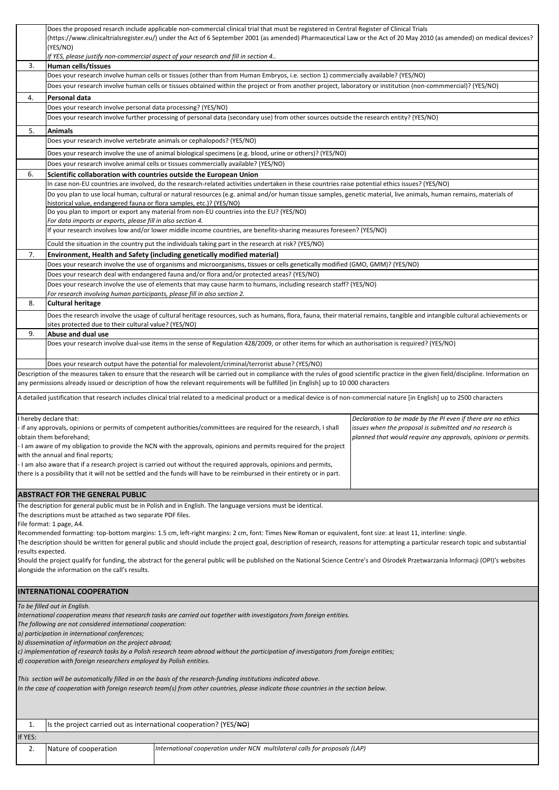|                   |                                                                                                               | Does the proposed resarch include applicable non-commercial clinical trial that must be registered in Central Register of Clinical Trials<br>(https://www.clinicaltrialsregister.eu/) under the Act of 6 September 2001 (as amended) Pharmaceutical Law or the Act of 20 May 2010 (as amended) on medical devices?                                     |                                                                                                                            |
|-------------------|---------------------------------------------------------------------------------------------------------------|--------------------------------------------------------------------------------------------------------------------------------------------------------------------------------------------------------------------------------------------------------------------------------------------------------------------------------------------------------|----------------------------------------------------------------------------------------------------------------------------|
|                   | (YES/NO)                                                                                                      |                                                                                                                                                                                                                                                                                                                                                        |                                                                                                                            |
| 3.                | Human cells/tissues                                                                                           | If YES, please justify non-commercial aspect of your research and fill in section 4                                                                                                                                                                                                                                                                    |                                                                                                                            |
|                   |                                                                                                               | Does your research involve human cells or tissues (other than from Human Embryos, i.e. section 1) commercially available? (YES/NO)                                                                                                                                                                                                                     |                                                                                                                            |
|                   |                                                                                                               | Does your research involve human cells or tissues obtained within the project or from another project, laboratory or institution (non-commmercial)? (YES/NO)                                                                                                                                                                                           |                                                                                                                            |
| 4.                | Personal data<br>Does your research involve personal data processing? (YES/NO)                                |                                                                                                                                                                                                                                                                                                                                                        |                                                                                                                            |
|                   |                                                                                                               | Does your research involve further processing of personal data (secondary use) from other sources outside the research entity? (YES/NO)                                                                                                                                                                                                                |                                                                                                                            |
| 5.                | <b>Animals</b>                                                                                                |                                                                                                                                                                                                                                                                                                                                                        |                                                                                                                            |
|                   | Does your research involve vertebrate animals or cephalopods? (YES/NO)                                        |                                                                                                                                                                                                                                                                                                                                                        |                                                                                                                            |
|                   |                                                                                                               | Does your research involve the use of animal biological specimens (e.g. blood, urine or others)? (YES/NO)                                                                                                                                                                                                                                              |                                                                                                                            |
|                   |                                                                                                               | Does your research involve animal cells or tissues commercially available? (YES/NO)                                                                                                                                                                                                                                                                    |                                                                                                                            |
| 6.                | Scientific collaboration with countries outside the European Union                                            | In case non-EU countries are involved, do the research-related activities undertaken in these countries raise potential ethics issues? (YES/NO)                                                                                                                                                                                                        |                                                                                                                            |
|                   |                                                                                                               | Do you plan to use local human, cultural or natural resources (e.g. animal and/or human tissue samples, genetic material, live animals, human remains, materials of                                                                                                                                                                                    |                                                                                                                            |
|                   | historical value, endangered fauna or flora samples, etc.)? (YES/NO)                                          | Do you plan to import or export any material from non-EU countries into the EU? (YES/NO)                                                                                                                                                                                                                                                               |                                                                                                                            |
|                   | For data imports or exports, please fill in also section 4.                                                   |                                                                                                                                                                                                                                                                                                                                                        |                                                                                                                            |
|                   |                                                                                                               | If your research involves low and/or lower middle income countries, are benefits-sharing measures foreseen? (YES/NO)                                                                                                                                                                                                                                   |                                                                                                                            |
|                   |                                                                                                               | Could the situation in the country put the individuals taking part in the research at risk? (YES/NO)                                                                                                                                                                                                                                                   |                                                                                                                            |
| 7.                |                                                                                                               | Environment, Health and Safety (including genetically modified material)<br>Does your research involve the use of organisms and microorganisms, tissues or cells genetically modified (GMO, GMM)? (YES/NO)                                                                                                                                             |                                                                                                                            |
|                   |                                                                                                               | Does your research deal with endangered fauna and/or flora and/or protected areas? (YES/NO)                                                                                                                                                                                                                                                            |                                                                                                                            |
|                   |                                                                                                               | Does your research involve the use of elements that may cause harm to humans, including research staff? (YES/NO)                                                                                                                                                                                                                                       |                                                                                                                            |
| 8.                | For research involving human participants, please fill in also section 2.<br><b>Cultural heritage</b>         |                                                                                                                                                                                                                                                                                                                                                        |                                                                                                                            |
|                   |                                                                                                               | Does the research involve the usage of cultural heritage resources, such as humans, flora, fauna, their material remains, tangible and intangible cultural achievements or                                                                                                                                                                             |                                                                                                                            |
|                   | sites protected due to their cultural value? (YES/NO)                                                         |                                                                                                                                                                                                                                                                                                                                                        |                                                                                                                            |
| 9.                | Abuse and dual use                                                                                            | Does your research involve dual-use items in the sense of Regulation 428/2009, or other items for which an authorisation is required? (YES/NO)                                                                                                                                                                                                         |                                                                                                                            |
|                   |                                                                                                               |                                                                                                                                                                                                                                                                                                                                                        |                                                                                                                            |
|                   |                                                                                                               | Does your research output have the potential for malevolent/criminal/terrorist abuse? (YES/NO)                                                                                                                                                                                                                                                         |                                                                                                                            |
|                   |                                                                                                               | Description of the measures taken to ensure that the research will be carried out in compliance with the rules of good scientific practice in the given field/discipline. Information on<br>any permissions already issued or description of how the relevant requirements will be fulfilled [in English] up to 10 000 characters                      |                                                                                                                            |
|                   |                                                                                                               | A detailed justification that research includes clinical trial related to a medicinal product or a medical device is of non-commercial nature [in English] up to 2500 characters                                                                                                                                                                       |                                                                                                                            |
|                   |                                                                                                               |                                                                                                                                                                                                                                                                                                                                                        |                                                                                                                            |
|                   | I hereby declare that:                                                                                        |                                                                                                                                                                                                                                                                                                                                                        | Declaration to be made by the PI even if there are no ethics                                                               |
|                   | obtain them beforehand;                                                                                       | if any approvals, opinions or permits of competent authorities/committees are required for the research, I shall                                                                                                                                                                                                                                       | issues when the proposal is submitted and no research is<br>planned that would require any approvals, opinions or permits. |
|                   |                                                                                                               | I am aware of my obligation to provide the NCN with the approvals, opinions and permits required for the project                                                                                                                                                                                                                                       |                                                                                                                            |
|                   | with the annual and final reports;                                                                            | - I am also aware that if a research project is carried out without the required approvals, opinions and permits,                                                                                                                                                                                                                                      |                                                                                                                            |
|                   |                                                                                                               | there is a possibility that it will not be settled and the funds will have to be reimbursed in their entirety or in part.                                                                                                                                                                                                                              |                                                                                                                            |
|                   |                                                                                                               |                                                                                                                                                                                                                                                                                                                                                        |                                                                                                                            |
|                   | <b>ABSTRACT FOR THE GENERAL PUBLIC</b>                                                                        |                                                                                                                                                                                                                                                                                                                                                        |                                                                                                                            |
|                   | The descriptions must be attached as two separate PDF files.                                                  | The description for general public must be in Polish and in English. The language versions must be identical.                                                                                                                                                                                                                                          |                                                                                                                            |
|                   | File format: 1 page, A4.                                                                                      |                                                                                                                                                                                                                                                                                                                                                        |                                                                                                                            |
|                   |                                                                                                               | Recommended formatting: top-bottom margins: 1.5 cm, left-right margins: 2 cm, font: Times New Roman or equivalent, font size: at least 11, interline: single.<br>The description should be written for general public and should include the project goal, description of research, reasons for attempting a particular research topic and substantial |                                                                                                                            |
| results expected. |                                                                                                               |                                                                                                                                                                                                                                                                                                                                                        |                                                                                                                            |
|                   | alongside the information on the call's results.                                                              | Should the project qualify for funding, the abstract for the general public will be published on the National Science Centre's and Osrodek Przetwarzania Informacji (OPI)'s websites                                                                                                                                                                   |                                                                                                                            |
|                   |                                                                                                               |                                                                                                                                                                                                                                                                                                                                                        |                                                                                                                            |
|                   | <b>INTERNATIONAL COOPERATION</b>                                                                              |                                                                                                                                                                                                                                                                                                                                                        |                                                                                                                            |
|                   | To be filled out in English.                                                                                  |                                                                                                                                                                                                                                                                                                                                                        |                                                                                                                            |
|                   |                                                                                                               | International cooperation means that research tasks are carried out together with investigators from foreign entities.                                                                                                                                                                                                                                 |                                                                                                                            |
|                   | The following are not considered international cooperation:<br>a) participation in international conferences; |                                                                                                                                                                                                                                                                                                                                                        |                                                                                                                            |
|                   | b) dissemination of information on the project abroad;                                                        |                                                                                                                                                                                                                                                                                                                                                        |                                                                                                                            |
|                   | d) cooperation with foreign researchers employed by Polish entities.                                          | c) implementation of research tasks by a Polish research team abroad without the participation of investigators from foreign entities;                                                                                                                                                                                                                 |                                                                                                                            |
|                   |                                                                                                               |                                                                                                                                                                                                                                                                                                                                                        |                                                                                                                            |
|                   |                                                                                                               | This section will be automatically filled in on the basis of the research-funding institutions indicated above.<br>In the case of cooperation with foreign research team(s) from other countries, please indicate those countries in the section below.                                                                                                |                                                                                                                            |
|                   |                                                                                                               |                                                                                                                                                                                                                                                                                                                                                        |                                                                                                                            |
|                   |                                                                                                               |                                                                                                                                                                                                                                                                                                                                                        |                                                                                                                            |
| 1.                | Is the project carried out as international cooperation? (YES/NO)                                             |                                                                                                                                                                                                                                                                                                                                                        |                                                                                                                            |
| If YES:           |                                                                                                               |                                                                                                                                                                                                                                                                                                                                                        |                                                                                                                            |
| 2.                | Nature of cooperation                                                                                         | International cooperation under NCN multilateral calls for proposals (LAP)                                                                                                                                                                                                                                                                             |                                                                                                                            |
|                   |                                                                                                               |                                                                                                                                                                                                                                                                                                                                                        |                                                                                                                            |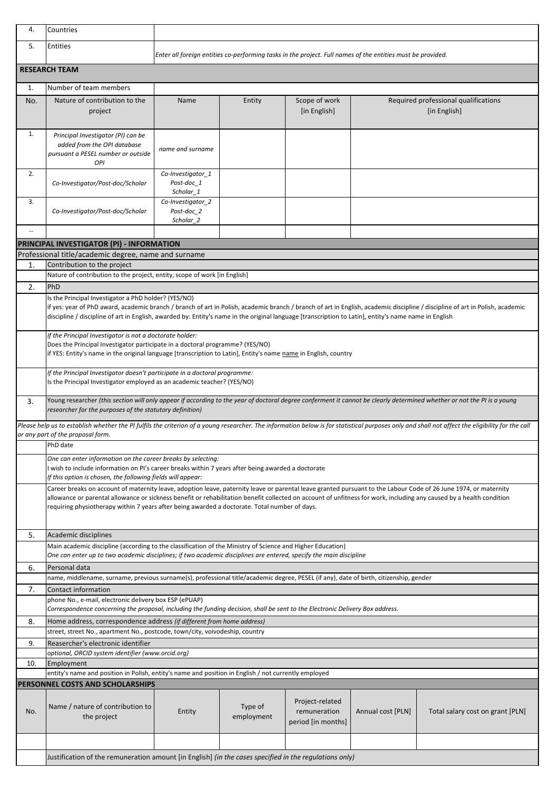| 4.       | Countries                                                                                                                                                                                                                                                             |                                              |                       |                                                                                                             |                   |                                                                                                                                                                                                  |
|----------|-----------------------------------------------------------------------------------------------------------------------------------------------------------------------------------------------------------------------------------------------------------------------|----------------------------------------------|-----------------------|-------------------------------------------------------------------------------------------------------------|-------------------|--------------------------------------------------------------------------------------------------------------------------------------------------------------------------------------------------|
| 5.       | Entities                                                                                                                                                                                                                                                              |                                              |                       | Enter all foreign entities co-performing tasks in the project. Full names of the entities must be provided. |                   |                                                                                                                                                                                                  |
|          | <b>RESEARCH TEAM</b>                                                                                                                                                                                                                                                  |                                              |                       |                                                                                                             |                   |                                                                                                                                                                                                  |
| 1.       | Number of team members                                                                                                                                                                                                                                                |                                              |                       |                                                                                                             |                   |                                                                                                                                                                                                  |
|          |                                                                                                                                                                                                                                                                       |                                              |                       |                                                                                                             |                   |                                                                                                                                                                                                  |
| No.      | Nature of contribution to the<br>project                                                                                                                                                                                                                              | Name                                         | Entity                | Scope of work<br>[in English]                                                                               |                   | Required professional qualifications<br>[in English]                                                                                                                                             |
| 1.       | Principal Investigator (PI) can be<br>added from the OPI database<br>pursuant a PESEL number or outside<br>OPI                                                                                                                                                        | name and surname                             |                       |                                                                                                             |                   |                                                                                                                                                                                                  |
| 2.       | Co-Investigator/Post-doc/Scholar                                                                                                                                                                                                                                      | Co-Investigator_1<br>Post-doc 1<br>Scholar 1 |                       |                                                                                                             |                   |                                                                                                                                                                                                  |
| 3.       | Co-Investigator/Post-doc/Scholar                                                                                                                                                                                                                                      | Co-Investigator_2<br>Post-doc 2<br>Scholar_2 |                       |                                                                                                             |                   |                                                                                                                                                                                                  |
| $\cdots$ |                                                                                                                                                                                                                                                                       |                                              |                       |                                                                                                             |                   |                                                                                                                                                                                                  |
|          | PRINCIPAL INVESTIGATOR (PI) - INFORMATION                                                                                                                                                                                                                             |                                              |                       |                                                                                                             |                   |                                                                                                                                                                                                  |
|          | Professional title/academic degree, name and surname                                                                                                                                                                                                                  |                                              |                       |                                                                                                             |                   |                                                                                                                                                                                                  |
| 1.       | Contribution to the project<br>Nature of contribution to the project, entity, scope of work [in English]                                                                                                                                                              |                                              |                       |                                                                                                             |                   |                                                                                                                                                                                                  |
| 2.       | PhD                                                                                                                                                                                                                                                                   |                                              |                       |                                                                                                             |                   |                                                                                                                                                                                                  |
|          | Is the Principal Investigator a PhD holder? (YES/NO)                                                                                                                                                                                                                  |                                              |                       |                                                                                                             |                   |                                                                                                                                                                                                  |
|          | discipline / discipline of art in English, awarded by: Entity's name in the original language [transcription to Latin], entity's name name in English                                                                                                                 |                                              |                       |                                                                                                             |                   | if yes: year of PhD award, academic branch / branch of art in Polish, academic branch / branch of art in English, academic discipline / discipline of art in Polish, academic                    |
|          | If the Principal Investigator is not a doctorate holder:<br>Does the Principal Investigator participate in a doctoral programme? (YES/NO)<br>if YES: Entity's name in the original language [transcription to Latin], Entity's name name in English, country          |                                              |                       |                                                                                                             |                   |                                                                                                                                                                                                  |
|          | If the Principal Investigator doesn't participate in a doctoral programme:<br>Is the Principal Investigator employed as an academic teacher? (YES/NO)                                                                                                                 |                                              |                       |                                                                                                             |                   |                                                                                                                                                                                                  |
| 3.       | Young researcher (this section will only appear if according to the year of doctoral degree conferment it cannot be clearly determined whether or not the PI is a young<br>researcher for the purposes of the statutory definition)                                   |                                              |                       |                                                                                                             |                   |                                                                                                                                                                                                  |
|          | or any part of the proposal form.                                                                                                                                                                                                                                     |                                              |                       |                                                                                                             |                   | Please help us to establish whether the PI fulfils the criterion of a young researcher. The information below is for statistical purposes only and shall not affect the eligibility for the call |
|          | PhD date                                                                                                                                                                                                                                                              |                                              |                       |                                                                                                             |                   |                                                                                                                                                                                                  |
|          | One can enter information on the career breaks by selecting:<br>I wish to include information on PI's career breaks within 7 years after being awarded a doctorate<br>If this option is chosen, the following fields will appear:                                     |                                              |                       |                                                                                                             |                   |                                                                                                                                                                                                  |
|          | Career breaks on account of maternity leave, adoption leave, paternity leave or parental leave granted pursuant to the Labour Code of 26 June 1974, or maternity                                                                                                      |                                              |                       |                                                                                                             |                   |                                                                                                                                                                                                  |
|          | allowance or parental allowance or sickness benefit or rehabilitation benefit collected on account of unfitness for work, including any caused by a health condition<br>requiring physiotherapy within 7 years after being awarded a doctorate. Total number of days. |                                              |                       |                                                                                                             |                   |                                                                                                                                                                                                  |
| 5.       | Academic disciplines                                                                                                                                                                                                                                                  |                                              |                       |                                                                                                             |                   |                                                                                                                                                                                                  |
|          | Main academic discipline (according to the classification of the Ministry of Science and Higher Education)                                                                                                                                                            |                                              |                       |                                                                                                             |                   |                                                                                                                                                                                                  |
|          | One can enter up to two academic disciplines; if two academic disciplines are entered, specify the main discipline                                                                                                                                                    |                                              |                       |                                                                                                             |                   |                                                                                                                                                                                                  |
| 6.       | Personal data                                                                                                                                                                                                                                                         |                                              |                       |                                                                                                             |                   |                                                                                                                                                                                                  |
| 7.       | name, middlename, surname, previous surname(s), professional title/academic degree, PESEL (if any), date of birth, citizenship, gender<br>Contact information                                                                                                         |                                              |                       |                                                                                                             |                   |                                                                                                                                                                                                  |
|          | phone No., e-mail, electronic delivery box ESP (ePUAP)<br>Correspondence concerning the proposal, including the funding decision, shall be sent to the Electronic Delivery Box address.                                                                               |                                              |                       |                                                                                                             |                   |                                                                                                                                                                                                  |
| 8.       | Home address, correspondence address (if different from home address)                                                                                                                                                                                                 |                                              |                       |                                                                                                             |                   |                                                                                                                                                                                                  |
|          | street, street No., apartment No., postcode, town/city, voivodeship, country                                                                                                                                                                                          |                                              |                       |                                                                                                             |                   |                                                                                                                                                                                                  |
| 9.       | Reasercher's electronic identifier                                                                                                                                                                                                                                    |                                              |                       |                                                                                                             |                   |                                                                                                                                                                                                  |
| 10.      | optional, ORCID system identifier (www.orcid.org)                                                                                                                                                                                                                     |                                              |                       |                                                                                                             |                   |                                                                                                                                                                                                  |
|          | Employment<br>entity's name and position in Polish, entity's name and position in English / not currently employed                                                                                                                                                    |                                              |                       |                                                                                                             |                   |                                                                                                                                                                                                  |
|          | <b>PERSONNEL COSTS AND SCHOLARSHIPS</b>                                                                                                                                                                                                                               |                                              |                       |                                                                                                             |                   |                                                                                                                                                                                                  |
| No.      | Name / nature of contribution to<br>the project                                                                                                                                                                                                                       | Entity                                       | Type of<br>employment | Project-related<br>remuneration<br>period [in months]                                                       | Annual cost [PLN] | Total salary cost on grant [PLN]                                                                                                                                                                 |
|          |                                                                                                                                                                                                                                                                       |                                              |                       |                                                                                                             |                   |                                                                                                                                                                                                  |
|          | Justification of the remuneration amount [in English] (in the cases specified in the regulations only)                                                                                                                                                                |                                              |                       |                                                                                                             |                   |                                                                                                                                                                                                  |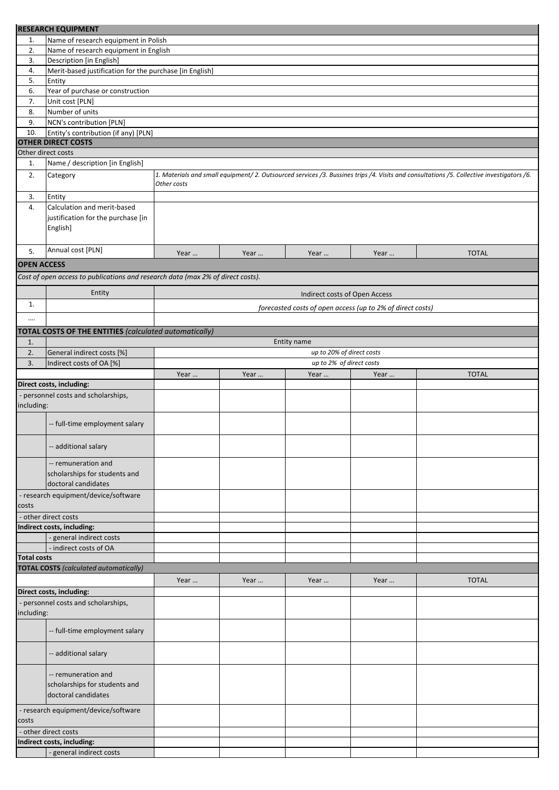|                    | <b>RESEARCH EQUIPMENT</b>                                                       |             |      |                               |                                                            |                                                                                                                                          |
|--------------------|---------------------------------------------------------------------------------|-------------|------|-------------------------------|------------------------------------------------------------|------------------------------------------------------------------------------------------------------------------------------------------|
| 1.                 | Name of research equipment in Polish                                            |             |      |                               |                                                            |                                                                                                                                          |
| 2.                 | Name of research equipment in English                                           |             |      |                               |                                                            |                                                                                                                                          |
| 3.                 | Description [in English]                                                        |             |      |                               |                                                            |                                                                                                                                          |
| 4.                 | Merit-based justification for the purchase [in English]                         |             |      |                               |                                                            |                                                                                                                                          |
| 5.                 | Entity                                                                          |             |      |                               |                                                            |                                                                                                                                          |
| 6.<br>7.           | Year of purchase or construction                                                |             |      |                               |                                                            |                                                                                                                                          |
| 8.                 | Unit cost [PLN]<br>Number of units                                              |             |      |                               |                                                            |                                                                                                                                          |
| 9.                 | NCN's contribution [PLN]                                                        |             |      |                               |                                                            |                                                                                                                                          |
| 10.                | Entity's contribution (if any) [PLN]                                            |             |      |                               |                                                            |                                                                                                                                          |
|                    | <b>OTHER DIRECT COSTS</b>                                                       |             |      |                               |                                                            |                                                                                                                                          |
|                    | Other direct costs                                                              |             |      |                               |                                                            |                                                                                                                                          |
| 1.                 | Name / description [in English]                                                 |             |      |                               |                                                            |                                                                                                                                          |
| 2.                 | Category                                                                        | Other costs |      |                               |                                                            | 1. Materials and small equipment/2. Outsourced services /3. Bussines trips /4. Visits and consultations /5. Collective investigators /6. |
| 3.                 | Entity                                                                          |             |      |                               |                                                            |                                                                                                                                          |
| 4.                 | Calculation and merit-based                                                     |             |      |                               |                                                            |                                                                                                                                          |
|                    | justification for the purchase [in                                              |             |      |                               |                                                            |                                                                                                                                          |
|                    | English]                                                                        |             |      |                               |                                                            |                                                                                                                                          |
|                    |                                                                                 |             |      |                               |                                                            |                                                                                                                                          |
| 5.                 | Annual cost [PLN]                                                               | Year        | Year | Year                          | Year                                                       | <b>TOTAL</b>                                                                                                                             |
| <b>OPEN ACCESS</b> |                                                                                 |             |      |                               |                                                            |                                                                                                                                          |
|                    | Cost of open access to publications and research data (max 2% of direct costs). |             |      |                               |                                                            |                                                                                                                                          |
|                    | Entity                                                                          |             |      | Indirect costs of Open Access |                                                            |                                                                                                                                          |
| 1.                 |                                                                                 |             |      |                               | forecasted costs of open access (up to 2% of direct costs) |                                                                                                                                          |
|                    |                                                                                 |             |      |                               |                                                            |                                                                                                                                          |
|                    | <b>TOTAL COSTS OF THE ENTITIES (calculated automatically)</b>                   |             |      |                               |                                                            |                                                                                                                                          |
| 1.                 |                                                                                 |             |      | Entity name                   |                                                            |                                                                                                                                          |
| 2.                 | General indirect costs [%]                                                      |             |      | up to 20% of direct costs     |                                                            |                                                                                                                                          |
| 3.                 | Indirect costs of OA [%]                                                        |             |      | up to 2% of direct costs      |                                                            |                                                                                                                                          |
|                    |                                                                                 | Year        | Year | Year                          | Year                                                       | <b>TOTAL</b>                                                                                                                             |
|                    | Direct costs, including:                                                        |             |      |                               |                                                            |                                                                                                                                          |
|                    | personnel costs and scholarships,                                               |             |      |                               |                                                            |                                                                                                                                          |
| including:         |                                                                                 |             |      |                               |                                                            |                                                                                                                                          |
|                    |                                                                                 |             |      |                               |                                                            |                                                                                                                                          |
|                    | -- full-time employment salary                                                  |             |      |                               |                                                            |                                                                                                                                          |
|                    |                                                                                 |             |      |                               |                                                            |                                                                                                                                          |
|                    | -- additional salary                                                            |             |      |                               |                                                            |                                                                                                                                          |
|                    | -- remuneration and                                                             |             |      |                               |                                                            |                                                                                                                                          |
|                    | scholarships for students and                                                   |             |      |                               |                                                            |                                                                                                                                          |
|                    | doctoral candidates                                                             |             |      |                               |                                                            |                                                                                                                                          |
|                    | - research equipment/device/software                                            |             |      |                               |                                                            |                                                                                                                                          |
| costs              |                                                                                 |             |      |                               |                                                            |                                                                                                                                          |
|                    | other direct costs                                                              |             |      |                               |                                                            |                                                                                                                                          |
|                    | Indirect costs, including:                                                      |             |      |                               |                                                            |                                                                                                                                          |
|                    | - general indirect costs<br>- indirect costs of OA                              |             |      |                               |                                                            |                                                                                                                                          |
| <b>Total costs</b> |                                                                                 |             |      |                               |                                                            |                                                                                                                                          |
|                    | <b>TOTAL COSTS</b> (calculated automatically)                                   |             |      |                               |                                                            |                                                                                                                                          |
|                    |                                                                                 | Year        | Year | Year                          | Year                                                       | <b>TOTAL</b>                                                                                                                             |
|                    | Direct costs, including:                                                        |             |      |                               |                                                            |                                                                                                                                          |
|                    | - personnel costs and scholarships,                                             |             |      |                               |                                                            |                                                                                                                                          |
| including:         |                                                                                 |             |      |                               |                                                            |                                                                                                                                          |
|                    |                                                                                 |             |      |                               |                                                            |                                                                                                                                          |
|                    | -- full-time employment salary                                                  |             |      |                               |                                                            |                                                                                                                                          |
|                    |                                                                                 |             |      |                               |                                                            |                                                                                                                                          |
|                    | -- additional salary                                                            |             |      |                               |                                                            |                                                                                                                                          |
|                    |                                                                                 |             |      |                               |                                                            |                                                                                                                                          |
|                    | -- remuneration and                                                             |             |      |                               |                                                            |                                                                                                                                          |
|                    | scholarships for students and<br>doctoral candidates                            |             |      |                               |                                                            |                                                                                                                                          |
|                    |                                                                                 |             |      |                               |                                                            |                                                                                                                                          |
|                    | - research equipment/device/software                                            |             |      |                               |                                                            |                                                                                                                                          |
| costs              |                                                                                 |             |      |                               |                                                            |                                                                                                                                          |
|                    | - other direct costs<br>Indirect costs, including:                              |             |      |                               |                                                            |                                                                                                                                          |
|                    | - general indirect costs                                                        |             |      |                               |                                                            |                                                                                                                                          |
|                    |                                                                                 |             |      |                               |                                                            |                                                                                                                                          |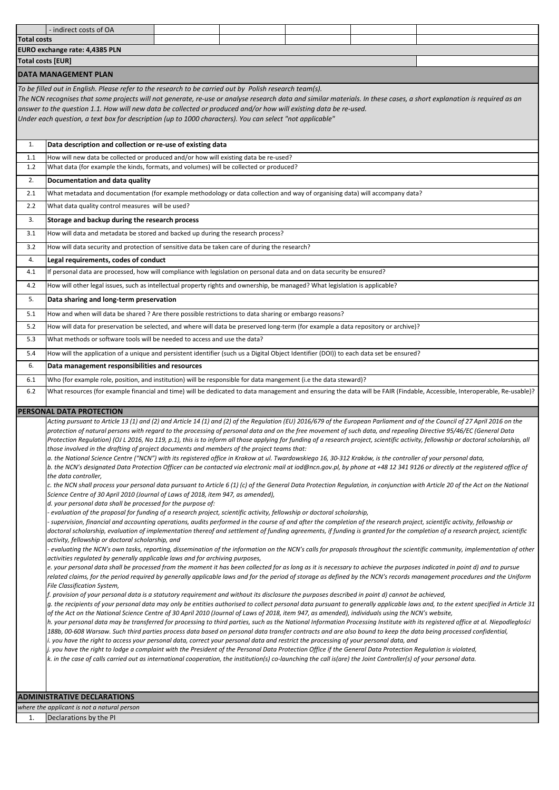|                    | - indirect costs of OA                                                                                                                                                                                                                                                                                                                                                                                                                                                                                                                                                                                                                                                                                                                                                                                                                                                                                                                                                                                                                                                                                                                                                                                                                                                                                                                                                                                                                                                                                                                                                                                                                                                                                                                                                                                                                                                                                                                                                                                                                                                                                                                                                                                                       |  |  |                                                                                                                                                                                                                                                                                                                                                                                                                                                                                                                                                                                                                                                                                                                                                                                                                                                                                                                                                                                                                                                                                                                                                                                                                                                                                                                                                                                                                                                                                                                                                                                                                                                       |
|--------------------|------------------------------------------------------------------------------------------------------------------------------------------------------------------------------------------------------------------------------------------------------------------------------------------------------------------------------------------------------------------------------------------------------------------------------------------------------------------------------------------------------------------------------------------------------------------------------------------------------------------------------------------------------------------------------------------------------------------------------------------------------------------------------------------------------------------------------------------------------------------------------------------------------------------------------------------------------------------------------------------------------------------------------------------------------------------------------------------------------------------------------------------------------------------------------------------------------------------------------------------------------------------------------------------------------------------------------------------------------------------------------------------------------------------------------------------------------------------------------------------------------------------------------------------------------------------------------------------------------------------------------------------------------------------------------------------------------------------------------------------------------------------------------------------------------------------------------------------------------------------------------------------------------------------------------------------------------------------------------------------------------------------------------------------------------------------------------------------------------------------------------------------------------------------------------------------------------------------------------|--|--|-------------------------------------------------------------------------------------------------------------------------------------------------------------------------------------------------------------------------------------------------------------------------------------------------------------------------------------------------------------------------------------------------------------------------------------------------------------------------------------------------------------------------------------------------------------------------------------------------------------------------------------------------------------------------------------------------------------------------------------------------------------------------------------------------------------------------------------------------------------------------------------------------------------------------------------------------------------------------------------------------------------------------------------------------------------------------------------------------------------------------------------------------------------------------------------------------------------------------------------------------------------------------------------------------------------------------------------------------------------------------------------------------------------------------------------------------------------------------------------------------------------------------------------------------------------------------------------------------------------------------------------------------------|
| <b>Total costs</b> |                                                                                                                                                                                                                                                                                                                                                                                                                                                                                                                                                                                                                                                                                                                                                                                                                                                                                                                                                                                                                                                                                                                                                                                                                                                                                                                                                                                                                                                                                                                                                                                                                                                                                                                                                                                                                                                                                                                                                                                                                                                                                                                                                                                                                              |  |  |                                                                                                                                                                                                                                                                                                                                                                                                                                                                                                                                                                                                                                                                                                                                                                                                                                                                                                                                                                                                                                                                                                                                                                                                                                                                                                                                                                                                                                                                                                                                                                                                                                                       |
|                    | EURO exchange rate: 4,4385 PLN                                                                                                                                                                                                                                                                                                                                                                                                                                                                                                                                                                                                                                                                                                                                                                                                                                                                                                                                                                                                                                                                                                                                                                                                                                                                                                                                                                                                                                                                                                                                                                                                                                                                                                                                                                                                                                                                                                                                                                                                                                                                                                                                                                                               |  |  |                                                                                                                                                                                                                                                                                                                                                                                                                                                                                                                                                                                                                                                                                                                                                                                                                                                                                                                                                                                                                                                                                                                                                                                                                                                                                                                                                                                                                                                                                                                                                                                                                                                       |
|                    | <b>Total costs [EUR]</b>                                                                                                                                                                                                                                                                                                                                                                                                                                                                                                                                                                                                                                                                                                                                                                                                                                                                                                                                                                                                                                                                                                                                                                                                                                                                                                                                                                                                                                                                                                                                                                                                                                                                                                                                                                                                                                                                                                                                                                                                                                                                                                                                                                                                     |  |  |                                                                                                                                                                                                                                                                                                                                                                                                                                                                                                                                                                                                                                                                                                                                                                                                                                                                                                                                                                                                                                                                                                                                                                                                                                                                                                                                                                                                                                                                                                                                                                                                                                                       |
|                    | <b>DATA MANAGEMENT PLAN</b>                                                                                                                                                                                                                                                                                                                                                                                                                                                                                                                                                                                                                                                                                                                                                                                                                                                                                                                                                                                                                                                                                                                                                                                                                                                                                                                                                                                                                                                                                                                                                                                                                                                                                                                                                                                                                                                                                                                                                                                                                                                                                                                                                                                                  |  |  |                                                                                                                                                                                                                                                                                                                                                                                                                                                                                                                                                                                                                                                                                                                                                                                                                                                                                                                                                                                                                                                                                                                                                                                                                                                                                                                                                                                                                                                                                                                                                                                                                                                       |
|                    | To be filled out in English. Please refer to the research to be carried out by Polish research team(s).<br>The NCN recognises that some projects will not generate, re-use or analyse research data and similar materials. In these cases, a short explanation is required as an<br>answer to the question 1.1. How will new data be collected or produced and/or how will existing data be re-used.<br>Under each question, a text box for description (up to 1000 characters). You can select "not applicable"                                                                                                                                                                                                                                                                                                                                                                                                                                                                                                                                                                                                                                                                                                                                                                                                                                                                                                                                                                                                                                                                                                                                                                                                                                                                                                                                                                                                                                                                                                                                                                                                                                                                                                             |  |  |                                                                                                                                                                                                                                                                                                                                                                                                                                                                                                                                                                                                                                                                                                                                                                                                                                                                                                                                                                                                                                                                                                                                                                                                                                                                                                                                                                                                                                                                                                                                                                                                                                                       |
| 1.                 | Data description and collection or re-use of existing data                                                                                                                                                                                                                                                                                                                                                                                                                                                                                                                                                                                                                                                                                                                                                                                                                                                                                                                                                                                                                                                                                                                                                                                                                                                                                                                                                                                                                                                                                                                                                                                                                                                                                                                                                                                                                                                                                                                                                                                                                                                                                                                                                                   |  |  |                                                                                                                                                                                                                                                                                                                                                                                                                                                                                                                                                                                                                                                                                                                                                                                                                                                                                                                                                                                                                                                                                                                                                                                                                                                                                                                                                                                                                                                                                                                                                                                                                                                       |
| 1.1                | How will new data be collected or produced and/or how will existing data be re-used?                                                                                                                                                                                                                                                                                                                                                                                                                                                                                                                                                                                                                                                                                                                                                                                                                                                                                                                                                                                                                                                                                                                                                                                                                                                                                                                                                                                                                                                                                                                                                                                                                                                                                                                                                                                                                                                                                                                                                                                                                                                                                                                                         |  |  |                                                                                                                                                                                                                                                                                                                                                                                                                                                                                                                                                                                                                                                                                                                                                                                                                                                                                                                                                                                                                                                                                                                                                                                                                                                                                                                                                                                                                                                                                                                                                                                                                                                       |
| 1.2                | What data (for example the kinds, formats, and volumes) will be collected or produced?                                                                                                                                                                                                                                                                                                                                                                                                                                                                                                                                                                                                                                                                                                                                                                                                                                                                                                                                                                                                                                                                                                                                                                                                                                                                                                                                                                                                                                                                                                                                                                                                                                                                                                                                                                                                                                                                                                                                                                                                                                                                                                                                       |  |  |                                                                                                                                                                                                                                                                                                                                                                                                                                                                                                                                                                                                                                                                                                                                                                                                                                                                                                                                                                                                                                                                                                                                                                                                                                                                                                                                                                                                                                                                                                                                                                                                                                                       |
| 2.                 | Documentation and data quality                                                                                                                                                                                                                                                                                                                                                                                                                                                                                                                                                                                                                                                                                                                                                                                                                                                                                                                                                                                                                                                                                                                                                                                                                                                                                                                                                                                                                                                                                                                                                                                                                                                                                                                                                                                                                                                                                                                                                                                                                                                                                                                                                                                               |  |  |                                                                                                                                                                                                                                                                                                                                                                                                                                                                                                                                                                                                                                                                                                                                                                                                                                                                                                                                                                                                                                                                                                                                                                                                                                                                                                                                                                                                                                                                                                                                                                                                                                                       |
| 2.1                | What metadata and documentation (for example methodology or data collection and way of organising data) will accompany data?                                                                                                                                                                                                                                                                                                                                                                                                                                                                                                                                                                                                                                                                                                                                                                                                                                                                                                                                                                                                                                                                                                                                                                                                                                                                                                                                                                                                                                                                                                                                                                                                                                                                                                                                                                                                                                                                                                                                                                                                                                                                                                 |  |  |                                                                                                                                                                                                                                                                                                                                                                                                                                                                                                                                                                                                                                                                                                                                                                                                                                                                                                                                                                                                                                                                                                                                                                                                                                                                                                                                                                                                                                                                                                                                                                                                                                                       |
| 2.2                | What data quality control measures will be used?                                                                                                                                                                                                                                                                                                                                                                                                                                                                                                                                                                                                                                                                                                                                                                                                                                                                                                                                                                                                                                                                                                                                                                                                                                                                                                                                                                                                                                                                                                                                                                                                                                                                                                                                                                                                                                                                                                                                                                                                                                                                                                                                                                             |  |  |                                                                                                                                                                                                                                                                                                                                                                                                                                                                                                                                                                                                                                                                                                                                                                                                                                                                                                                                                                                                                                                                                                                                                                                                                                                                                                                                                                                                                                                                                                                                                                                                                                                       |
| 3.                 | Storage and backup during the research process                                                                                                                                                                                                                                                                                                                                                                                                                                                                                                                                                                                                                                                                                                                                                                                                                                                                                                                                                                                                                                                                                                                                                                                                                                                                                                                                                                                                                                                                                                                                                                                                                                                                                                                                                                                                                                                                                                                                                                                                                                                                                                                                                                               |  |  |                                                                                                                                                                                                                                                                                                                                                                                                                                                                                                                                                                                                                                                                                                                                                                                                                                                                                                                                                                                                                                                                                                                                                                                                                                                                                                                                                                                                                                                                                                                                                                                                                                                       |
| 3.1                | How will data and metadata be stored and backed up during the research process?                                                                                                                                                                                                                                                                                                                                                                                                                                                                                                                                                                                                                                                                                                                                                                                                                                                                                                                                                                                                                                                                                                                                                                                                                                                                                                                                                                                                                                                                                                                                                                                                                                                                                                                                                                                                                                                                                                                                                                                                                                                                                                                                              |  |  |                                                                                                                                                                                                                                                                                                                                                                                                                                                                                                                                                                                                                                                                                                                                                                                                                                                                                                                                                                                                                                                                                                                                                                                                                                                                                                                                                                                                                                                                                                                                                                                                                                                       |
| 3.2                | How will data security and protection of sensitive data be taken care of during the research?                                                                                                                                                                                                                                                                                                                                                                                                                                                                                                                                                                                                                                                                                                                                                                                                                                                                                                                                                                                                                                                                                                                                                                                                                                                                                                                                                                                                                                                                                                                                                                                                                                                                                                                                                                                                                                                                                                                                                                                                                                                                                                                                |  |  |                                                                                                                                                                                                                                                                                                                                                                                                                                                                                                                                                                                                                                                                                                                                                                                                                                                                                                                                                                                                                                                                                                                                                                                                                                                                                                                                                                                                                                                                                                                                                                                                                                                       |
| 4.                 | Legal requirements, codes of conduct                                                                                                                                                                                                                                                                                                                                                                                                                                                                                                                                                                                                                                                                                                                                                                                                                                                                                                                                                                                                                                                                                                                                                                                                                                                                                                                                                                                                                                                                                                                                                                                                                                                                                                                                                                                                                                                                                                                                                                                                                                                                                                                                                                                         |  |  |                                                                                                                                                                                                                                                                                                                                                                                                                                                                                                                                                                                                                                                                                                                                                                                                                                                                                                                                                                                                                                                                                                                                                                                                                                                                                                                                                                                                                                                                                                                                                                                                                                                       |
| 4.1                | If personal data are processed, how will compliance with legislation on personal data and on data security be ensured?                                                                                                                                                                                                                                                                                                                                                                                                                                                                                                                                                                                                                                                                                                                                                                                                                                                                                                                                                                                                                                                                                                                                                                                                                                                                                                                                                                                                                                                                                                                                                                                                                                                                                                                                                                                                                                                                                                                                                                                                                                                                                                       |  |  |                                                                                                                                                                                                                                                                                                                                                                                                                                                                                                                                                                                                                                                                                                                                                                                                                                                                                                                                                                                                                                                                                                                                                                                                                                                                                                                                                                                                                                                                                                                                                                                                                                                       |
| 4.2                | How will other legal issues, such as intellectual property rights and ownership, be managed? What legislation is applicable?                                                                                                                                                                                                                                                                                                                                                                                                                                                                                                                                                                                                                                                                                                                                                                                                                                                                                                                                                                                                                                                                                                                                                                                                                                                                                                                                                                                                                                                                                                                                                                                                                                                                                                                                                                                                                                                                                                                                                                                                                                                                                                 |  |  |                                                                                                                                                                                                                                                                                                                                                                                                                                                                                                                                                                                                                                                                                                                                                                                                                                                                                                                                                                                                                                                                                                                                                                                                                                                                                                                                                                                                                                                                                                                                                                                                                                                       |
| 5.                 | Data sharing and long-term preservation                                                                                                                                                                                                                                                                                                                                                                                                                                                                                                                                                                                                                                                                                                                                                                                                                                                                                                                                                                                                                                                                                                                                                                                                                                                                                                                                                                                                                                                                                                                                                                                                                                                                                                                                                                                                                                                                                                                                                                                                                                                                                                                                                                                      |  |  |                                                                                                                                                                                                                                                                                                                                                                                                                                                                                                                                                                                                                                                                                                                                                                                                                                                                                                                                                                                                                                                                                                                                                                                                                                                                                                                                                                                                                                                                                                                                                                                                                                                       |
| 5.1                | How and when will data be shared ? Are there possible restrictions to data sharing or embargo reasons?                                                                                                                                                                                                                                                                                                                                                                                                                                                                                                                                                                                                                                                                                                                                                                                                                                                                                                                                                                                                                                                                                                                                                                                                                                                                                                                                                                                                                                                                                                                                                                                                                                                                                                                                                                                                                                                                                                                                                                                                                                                                                                                       |  |  |                                                                                                                                                                                                                                                                                                                                                                                                                                                                                                                                                                                                                                                                                                                                                                                                                                                                                                                                                                                                                                                                                                                                                                                                                                                                                                                                                                                                                                                                                                                                                                                                                                                       |
| 5.2                | How will data for preservation be selected, and where will data be preserved long-term (for example a data repository or archive)?                                                                                                                                                                                                                                                                                                                                                                                                                                                                                                                                                                                                                                                                                                                                                                                                                                                                                                                                                                                                                                                                                                                                                                                                                                                                                                                                                                                                                                                                                                                                                                                                                                                                                                                                                                                                                                                                                                                                                                                                                                                                                           |  |  |                                                                                                                                                                                                                                                                                                                                                                                                                                                                                                                                                                                                                                                                                                                                                                                                                                                                                                                                                                                                                                                                                                                                                                                                                                                                                                                                                                                                                                                                                                                                                                                                                                                       |
| 5.3                | What methods or software tools will be needed to access and use the data?                                                                                                                                                                                                                                                                                                                                                                                                                                                                                                                                                                                                                                                                                                                                                                                                                                                                                                                                                                                                                                                                                                                                                                                                                                                                                                                                                                                                                                                                                                                                                                                                                                                                                                                                                                                                                                                                                                                                                                                                                                                                                                                                                    |  |  |                                                                                                                                                                                                                                                                                                                                                                                                                                                                                                                                                                                                                                                                                                                                                                                                                                                                                                                                                                                                                                                                                                                                                                                                                                                                                                                                                                                                                                                                                                                                                                                                                                                       |
| 5.4<br>6.          | How will the application of a unique and persistent identifier (such us a Digital Object Identifier (DOI)) to each data set be ensured?<br>Data management responsibilities and resources                                                                                                                                                                                                                                                                                                                                                                                                                                                                                                                                                                                                                                                                                                                                                                                                                                                                                                                                                                                                                                                                                                                                                                                                                                                                                                                                                                                                                                                                                                                                                                                                                                                                                                                                                                                                                                                                                                                                                                                                                                    |  |  |                                                                                                                                                                                                                                                                                                                                                                                                                                                                                                                                                                                                                                                                                                                                                                                                                                                                                                                                                                                                                                                                                                                                                                                                                                                                                                                                                                                                                                                                                                                                                                                                                                                       |
|                    |                                                                                                                                                                                                                                                                                                                                                                                                                                                                                                                                                                                                                                                                                                                                                                                                                                                                                                                                                                                                                                                                                                                                                                                                                                                                                                                                                                                                                                                                                                                                                                                                                                                                                                                                                                                                                                                                                                                                                                                                                                                                                                                                                                                                                              |  |  |                                                                                                                                                                                                                                                                                                                                                                                                                                                                                                                                                                                                                                                                                                                                                                                                                                                                                                                                                                                                                                                                                                                                                                                                                                                                                                                                                                                                                                                                                                                                                                                                                                                       |
|                    |                                                                                                                                                                                                                                                                                                                                                                                                                                                                                                                                                                                                                                                                                                                                                                                                                                                                                                                                                                                                                                                                                                                                                                                                                                                                                                                                                                                                                                                                                                                                                                                                                                                                                                                                                                                                                                                                                                                                                                                                                                                                                                                                                                                                                              |  |  |                                                                                                                                                                                                                                                                                                                                                                                                                                                                                                                                                                                                                                                                                                                                                                                                                                                                                                                                                                                                                                                                                                                                                                                                                                                                                                                                                                                                                                                                                                                                                                                                                                                       |
| 6.1                | Who (for example role, position, and institution) will be responsible for data mangement (i.e the data steward)?                                                                                                                                                                                                                                                                                                                                                                                                                                                                                                                                                                                                                                                                                                                                                                                                                                                                                                                                                                                                                                                                                                                                                                                                                                                                                                                                                                                                                                                                                                                                                                                                                                                                                                                                                                                                                                                                                                                                                                                                                                                                                                             |  |  |                                                                                                                                                                                                                                                                                                                                                                                                                                                                                                                                                                                                                                                                                                                                                                                                                                                                                                                                                                                                                                                                                                                                                                                                                                                                                                                                                                                                                                                                                                                                                                                                                                                       |
| 6.2                |                                                                                                                                                                                                                                                                                                                                                                                                                                                                                                                                                                                                                                                                                                                                                                                                                                                                                                                                                                                                                                                                                                                                                                                                                                                                                                                                                                                                                                                                                                                                                                                                                                                                                                                                                                                                                                                                                                                                                                                                                                                                                                                                                                                                                              |  |  | What resources (for example financial and time) will be dedicated to data management and ensuring the data will be FAIR (Findable, Accessible, Interoperable, Re-usable)?                                                                                                                                                                                                                                                                                                                                                                                                                                                                                                                                                                                                                                                                                                                                                                                                                                                                                                                                                                                                                                                                                                                                                                                                                                                                                                                                                                                                                                                                             |
|                    | <b>PERSONAL DATA PROTECTION</b>                                                                                                                                                                                                                                                                                                                                                                                                                                                                                                                                                                                                                                                                                                                                                                                                                                                                                                                                                                                                                                                                                                                                                                                                                                                                                                                                                                                                                                                                                                                                                                                                                                                                                                                                                                                                                                                                                                                                                                                                                                                                                                                                                                                              |  |  |                                                                                                                                                                                                                                                                                                                                                                                                                                                                                                                                                                                                                                                                                                                                                                                                                                                                                                                                                                                                                                                                                                                                                                                                                                                                                                                                                                                                                                                                                                                                                                                                                                                       |
|                    | protection of natural persons with regard to the processing of personal data and on the free movement of such data, and repealing Directive 95/46/EC (General Data<br>those involved in the drafting of project documents and members of the project teams that:<br>a. the National Science Centre ("NCN") with its registered office in Krakow at ul. Twardowskiego 16, 30-312 Kraków, is the controller of your personal data,<br>the data controller,<br>Science Centre of 30 April 2010 (Journal of Laws of 2018, item 947, as amended),<br>d. your personal data shall be processed for the purpose of:<br>evaluation of the proposal for funding of a research project, scientific activity, fellowship or doctoral scholarship,<br>supervision, financial and accounting operations, audits performed in the course of and after the completion of the research project, scientific activity, fellowship or<br>activity, fellowship or doctoral scholarship, and<br>activities regulated by generally applicable laws and for archiving purposes,<br>e. your personal data shall be processed from the moment it has been collected for as long as it is necessary to achieve the purposes indicated in point d) and to pursue<br>File Classification System,<br>f. provision of your personal data is a statutory requirement and without its disclosure the purposes described in point d) cannot be achieved,<br>of the Act on the National Science Centre of 30 April 2010 (Journal of Laws of 2018, item 947, as amended), individuals using the NCN's website,<br>188b, 00-608 Warsaw. Such third parties process data based on personal data transfer contracts and are also bound to keep the data being processed confidential,<br>i. you have the right to access your personal data, correct your personal data and restrict the processing of your personal data, and<br>j. you have the right to lodge a complaint with the President of the Personal Data Protection Office if the General Data Protection Regulation is violated,<br>k. in the case of calls carried out as international cooperation, the institution(s) co-launching the call is(are) the Joint Controller(s) of your personal data. |  |  | Acting pursuant to Article 13 (1) and (2) and Article 14 (1) and (2) of the Regulation (EU) 2016/679 of the European Parliament and of the Council of 27 April 2016 on the<br>Protection Regulation) (OJ L 2016, No 119, p.1), this is to inform all those applying for funding of a research project, scientific activity, fellowship or doctoral scholarship, all<br>b. the NCN's designated Data Protection Officer can be contacted via electronic mail at iod@ncn.gov.pl, by phone at +48 12 341 9126 or directly at the registered office of<br>c. the NCN shall process your personal data pursuant to Article 6 (1) (c) of the General Data Protection Regulation, in conjunction with Article 20 of the Act on the National<br>doctoral scholarship, evaluation of implementation thereof and settlement of funding agreements, if funding is granted for the completion of a research project, scientific<br>evaluating the NCN's own tasks, reporting, dissemination of the information on the NCN's calls for proposals throughout the scientific community, implementation of other<br>related claims, for the period required by generally applicable laws and for the period of storage as defined by the NCN's records management procedures and the Uniform<br>g. the recipients of your personal data may only be entities authorised to collect personal data pursuant to generally applicable laws and, to the extent specified in Article 31<br>h. your personal data may be transferred for processing to third parties, such as the National Information Processing Institute with its registered office at al. Niepodległości |
|                    |                                                                                                                                                                                                                                                                                                                                                                                                                                                                                                                                                                                                                                                                                                                                                                                                                                                                                                                                                                                                                                                                                                                                                                                                                                                                                                                                                                                                                                                                                                                                                                                                                                                                                                                                                                                                                                                                                                                                                                                                                                                                                                                                                                                                                              |  |  |                                                                                                                                                                                                                                                                                                                                                                                                                                                                                                                                                                                                                                                                                                                                                                                                                                                                                                                                                                                                                                                                                                                                                                                                                                                                                                                                                                                                                                                                                                                                                                                                                                                       |
|                    | <b>ADMINISTRATIVE DECLARATIONS</b><br>where the applicant is not a natural person                                                                                                                                                                                                                                                                                                                                                                                                                                                                                                                                                                                                                                                                                                                                                                                                                                                                                                                                                                                                                                                                                                                                                                                                                                                                                                                                                                                                                                                                                                                                                                                                                                                                                                                                                                                                                                                                                                                                                                                                                                                                                                                                            |  |  |                                                                                                                                                                                                                                                                                                                                                                                                                                                                                                                                                                                                                                                                                                                                                                                                                                                                                                                                                                                                                                                                                                                                                                                                                                                                                                                                                                                                                                                                                                                                                                                                                                                       |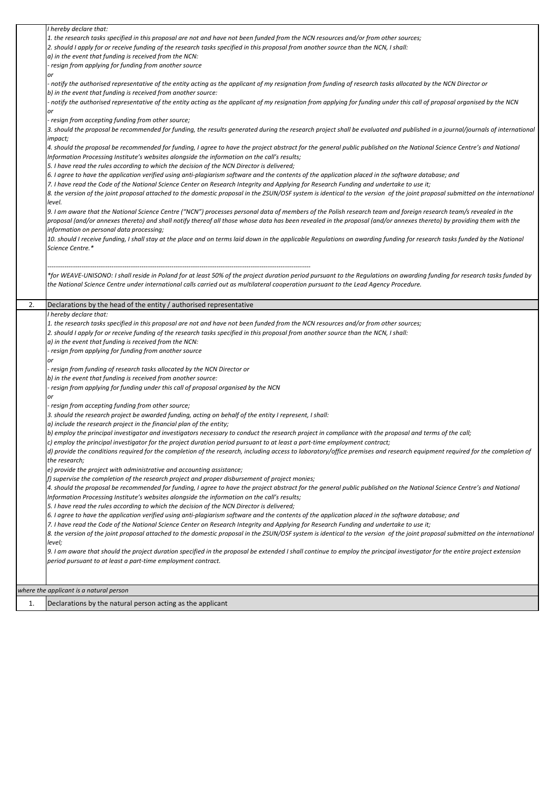|    | I hereby declare that:                                                                                                                                                         |
|----|--------------------------------------------------------------------------------------------------------------------------------------------------------------------------------|
|    | 1. the research tasks specified in this proposal are not and have not been funded from the NCN resources and/or from other sources;                                            |
|    | 2. should I apply for or receive funding of the research tasks specified in this proposal from another source than the NCN, I shall:                                           |
|    | a) in the event that funding is received from the NCN:                                                                                                                         |
|    | - resign from applying for funding from another source                                                                                                                         |
|    | or                                                                                                                                                                             |
|    | notify the authorised representative of the entity acting as the applicant of my resignation from funding of research tasks allocated by the NCN Director or                   |
|    | b) in the event that funding is received from another source:                                                                                                                  |
|    | notify the authorised representative of the entity acting as the applicant of my resignation from applying for funding under this call of proposal organised by the NCN        |
|    | or                                                                                                                                                                             |
|    | resign from accepting funding from other source;                                                                                                                               |
|    | 3. should the proposal be recommended for funding, the results generated during the research project shall be evaluated and published in a journal/journals of international   |
|    | impact;                                                                                                                                                                        |
|    | 4. should the proposal be recommended for funding, I agree to have the project abstract for the general public published on the National Science Centre's and National         |
|    | Information Processing Institute's websites alongside the information on the call's results;                                                                                   |
|    | 5. I have read the rules according to which the decision of the NCN Director is delivered;                                                                                     |
|    | 6. I agree to have the application verified using anti-plagiarism software and the contents of the application placed in the software database; and                            |
|    | 7. I have read the Code of the National Science Center on Research Integrity and Applying for Research Funding and undertake to use it;                                        |
|    | 8. the version of the joint proposal attached to the domestic proposal in the ZSUN/OSF system is identical to the version of the joint proposal submitted on the international |
|    | level.                                                                                                                                                                         |
|    | 9. I am aware that the National Science Centre ("NCN") processes personal data of members of the Polish research team and foreign research team/s revealed in the              |
|    | proposal (and/or annexes thereto) and shall notify thereof all those whose data has been revealed in the proposal (and/or annexes thereto) by providing them with the          |
|    | information on personal data processing;                                                                                                                                       |
|    | 10. should I receive funding, I shall stay at the place and on terms laid down in the applicable Regulations on awarding funding for research tasks funded by the National     |
|    | Science Centre.*                                                                                                                                                               |
|    |                                                                                                                                                                                |
|    |                                                                                                                                                                                |
|    | *for WEAVE-UNISONO: I shall reside in Poland for at least 50% of the project duration period pursuant to the Regulations on awarding funding for research tasks funded by      |
|    | the National Science Centre under international calls carried out as multilateral cooperation pursuant to the Lead Agency Procedure.                                           |
|    |                                                                                                                                                                                |
| 2. | Declarations by the head of the entity / authorised representative                                                                                                             |
|    | I hereby declare that:                                                                                                                                                         |
|    | 1. the research tasks specified in this proposal are not and have not been funded from the NCN resources and/or from other sources;                                            |
|    | 2. should I apply for or receive funding of the research tasks specified in this proposal from another source than the NCN, I shall:                                           |
|    |                                                                                                                                                                                |
|    | a) in the event that funding is received from the NCN:                                                                                                                         |
|    | resign from applying for funding from another source                                                                                                                           |
|    | or                                                                                                                                                                             |
|    | resign from funding of research tasks allocated by the NCN Director or ·                                                                                                       |
|    | b) in the event that funding is received from another source:                                                                                                                  |
|    | resign from applying for funding under this call of proposal organised by the NCN                                                                                              |
|    | or                                                                                                                                                                             |
|    | resign from accepting funding from other source;                                                                                                                               |
|    | 3. should the research project be awarded funding, acting on behalf of the entity I represent, I shall:                                                                        |
|    | a) include the research project in the financial plan of the entity;                                                                                                           |
|    | b) employ the principal investigator and investigators necessary to conduct the research project in compliance with the proposal and terms of the call;                        |
|    | $ c $ employ the principal investigator for the project duration period pursuant to at least a part-time employment contract;                                                  |
|    | d) provide the conditions required for the completion of the research, including access to laboratory/office premises and research equipment required for the completion of    |
|    | the research;                                                                                                                                                                  |
|    | e) provide the project with administrative and accounting assistance;                                                                                                          |
|    | f) supervise the completion of the research project and proper disbursement of project monies;                                                                                 |
|    | 4. should the proposal be recommended for funding, I agree to have the project abstract for the general public published on the National Science Centre's and National         |
|    | Information Processing Institute's websites alongside the information on the call's results;                                                                                   |
|    | 5. I have read the rules according to which the decision of the NCN Director is delivered;                                                                                     |
|    | 6. I agree to have the application verified using anti-plagiarism software and the contents of the application placed in the software database; and                            |
|    | 7. I have read the Code of the National Science Center on Research Integrity and Applying for Research Funding and undertake to use it;                                        |
|    | 8. the version of the joint proposal attached to the domestic proposal in the ZSUN/OSF system is identical to the version of the joint proposal submitted on the international |
|    | level;                                                                                                                                                                         |
|    | 9. I am aware that should the project duration specified in the proposal be extended I shall continue to employ the principal investigator for the entire project extension    |
|    | period pursuant to at least a part-time employment contract.                                                                                                                   |
|    |                                                                                                                                                                                |
|    |                                                                                                                                                                                |
|    | where the applicant is a natural person<br>Declarations by the natural person acting as the applicant                                                                          |